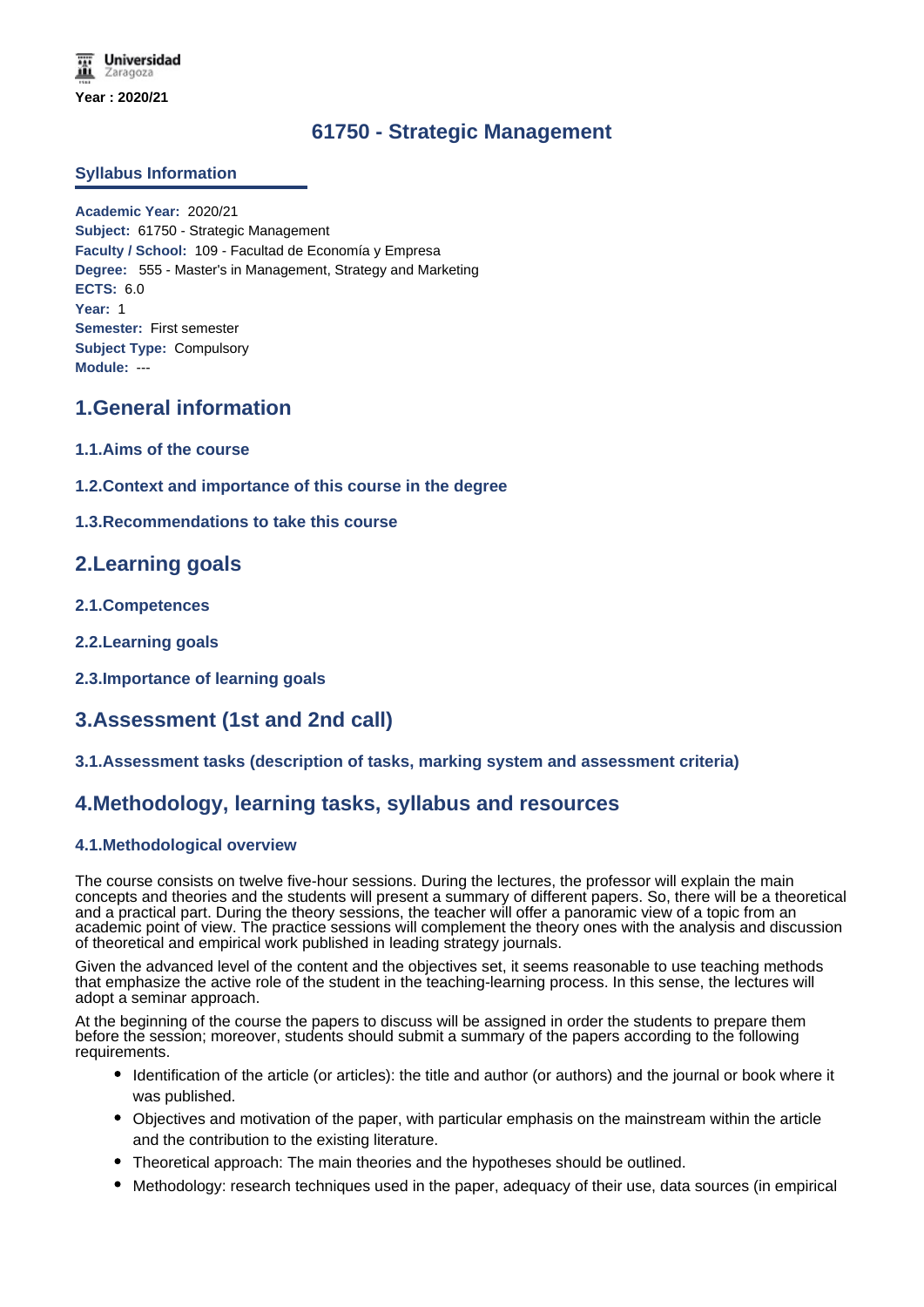## **61750 - Strategic Management**

### **Syllabus Information**

**Academic Year:** 2020/21 **Subject:** 61750 - Strategic Management **Faculty / School:** 109 - Facultad de Economía y Empresa **Degree:** 555 - Master's in Management, Strategy and Marketing **ECTS:** 6.0 **Year:** 1 **Semester:** First semester **Subject Type:** Compulsory **Module:** ---

### **1.General information**

- **1.1.Aims of the course**
- **1.2.Context and importance of this course in the degree**
- **1.3.Recommendations to take this course**

### **2.Learning goals**

- **2.1.Competences**
- **2.2.Learning goals**
- **2.3.Importance of learning goals**

# **3.Assessment (1st and 2nd call)**

### **3.1.Assessment tasks (description of tasks, marking system and assessment criteria)**

### **4.Methodology, learning tasks, syllabus and resources**

### **4.1.Methodological overview**

The course consists on twelve five-hour sessions. During the lectures, the professor will explain the main concepts and theories and the students will present a summary of different papers. So, there will be a theoretical and a practical part. During the theory sessions, the teacher will offer a panoramic view of a topic from an academic point of view. The practice sessions will complement the theory ones with the analysis and discussion of theoretical and empirical work published in leading strategy journals.

Given the advanced level of the content and the objectives set, it seems reasonable to use teaching methods that emphasize the active role of the student in the teaching-learning process. In this sense, the lectures will adopt a seminar approach.

At the beginning of the course the papers to discuss will be assigned in order the students to prepare them before the session; moreover, students should submit a summary of the papers according to the following requirements.

- Identification of the article (or articles): the title and author (or authors) and the journal or book where it was published.
- Objectives and motivation of the paper, with particular emphasis on the mainstream within the article and the contribution to the existing literature.
- Theoretical approach: The main theories and the hypotheses should be outlined.
- Methodology: research techniques used in the paper, adequacy of their use, data sources (in empirical